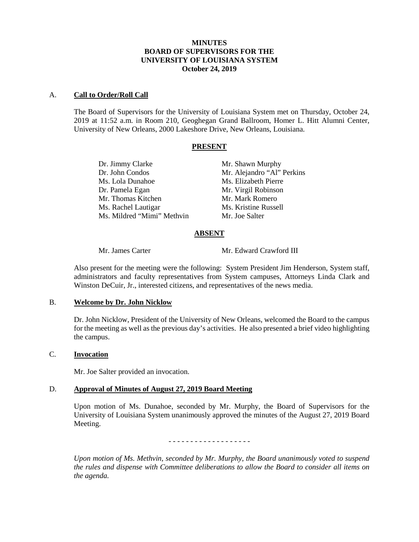## **MINUTES BOARD OF SUPERVISORS FOR THE UNIVERSITY OF LOUISIANA SYSTEM October 24, 2019**

#### A. **Call to Order/Roll Call**

The Board of Supervisors for the University of Louisiana System met on Thursday, October 24, 2019 at 11:52 a.m. in Room 210, Geoghegan Grand Ballroom, Homer L. Hitt Alumni Center, University of New Orleans, 2000 Lakeshore Drive, New Orleans, Louisiana.

#### **PRESENT**

Dr. John Condos Mr. Alejandro "Al" Perkins Ms. Lola Dunahoe Ms. Elizabeth Pierre Dr. Pamela Egan Mr. Virgil Robinson Mr. Thomas Kitchen Mr. Mark Romero<br>
Ms. Rachel Lautigar Ms. Kristine Russell Ms. Rachel Lautigar Ms. Mildred "Mimi" Methvin Mr. Joe Salter

Dr. Jimmy Clarke Mr. Shawn Murphy

## **ABSENT**

Mr. James Carter Mr. Edward Crawford III

Also present for the meeting were the following: System President Jim Henderson, System staff, administrators and faculty representatives from System campuses, Attorneys Linda Clark and Winston DeCuir, Jr., interested citizens, and representatives of the news media.

### B. **Welcome by Dr. John Nicklow**

Dr. John Nicklow, President of the University of New Orleans, welcomed the Board to the campus for the meeting as well as the previous day's activities. He also presented a brief video highlighting the campus.

# C. **Invocation**

Mr. Joe Salter provided an invocation.

## D. **Approval of Minutes of August 27, 2019 Board Meeting**

Upon motion of Ms. Dunahoe, seconded by Mr. Murphy, the Board of Supervisors for the University of Louisiana System unanimously approved the minutes of the August 27, 2019 Board Meeting.

- - - - - - - - - - - - - - - - - - -

*Upon motion of Ms. Methvin, seconded by Mr. Murphy, the Board unanimously voted to suspend the rules and dispense with Committee deliberations to allow the Board to consider all items on the agenda.*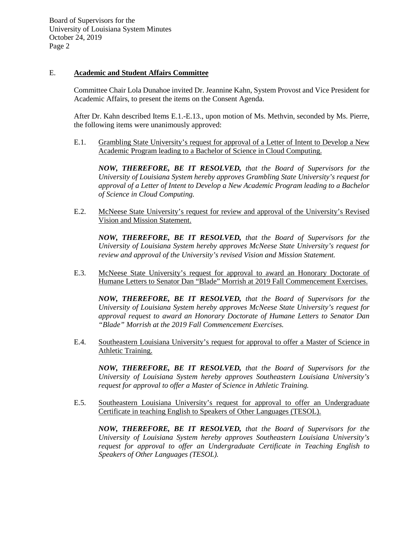### E. **Academic and Student Affairs Committee**

Committee Chair Lola Dunahoe invited Dr. Jeannine Kahn, System Provost and Vice President for Academic Affairs, to present the items on the Consent Agenda.

After Dr. Kahn described Items E.1.-E.13., upon motion of Ms. Methvin, seconded by Ms. Pierre, the following items were unanimously approved:

E.1. Grambling State University's request for approval of a Letter of Intent to Develop a New Academic Program leading to a Bachelor of Science in Cloud Computing.

*NOW, THEREFORE, BE IT RESOLVED, that the Board of Supervisors for the University of Louisiana System hereby approves Grambling State University's request for approval of a Letter of Intent to Develop a New Academic Program leading to a Bachelor of Science in Cloud Computing.* 

E.2. McNeese State University's request for review and approval of the University's Revised Vision and Mission Statement.

*NOW, THEREFORE, BE IT RESOLVED, that the Board of Supervisors for the University of Louisiana System hereby approves McNeese State University's request for review and approval of the University's revised Vision and Mission Statement.* 

E.3. McNeese State University's request for approval to award an Honorary Doctorate of Humane Letters to Senator Dan "Blade" Morrish at 2019 Fall Commencement Exercises.

*NOW, THEREFORE, BE IT RESOLVED, that the Board of Supervisors for the University of Louisiana System hereby approves McNeese State University's request for approval request to award an Honorary Doctorate of Humane Letters to Senator Dan "Blade" Morrish at the 2019 Fall Commencement Exercises.*

E.4. Southeastern Louisiana University's request for approval to offer a Master of Science in Athletic Training.

*NOW, THEREFORE, BE IT RESOLVED, that the Board of Supervisors for the University of Louisiana System hereby approves Southeastern Louisiana University's request for approval to offer a Master of Science in Athletic Training.*

E.5. Southeastern Louisiana University's request for approval to offer an Undergraduate Certificate in teaching English to Speakers of Other Languages (TESOL).

*NOW, THEREFORE, BE IT RESOLVED, that the Board of Supervisors for the University of Louisiana System hereby approves Southeastern Louisiana University's request for approval to offer an Undergraduate Certificate in Teaching English to Speakers of Other Languages (TESOL).*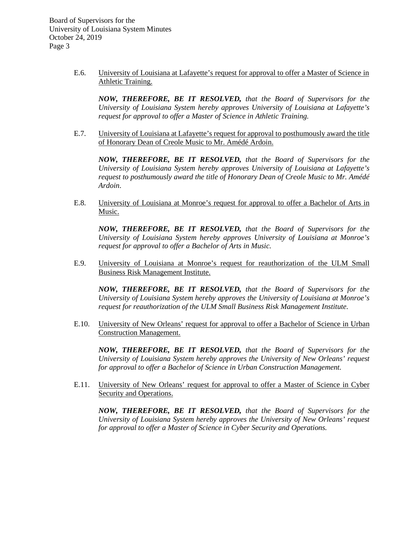> E.6. University of Louisiana at Lafayette's request for approval to offer a Master of Science in Athletic Training.

*NOW, THEREFORE, BE IT RESOLVED, that the Board of Supervisors for the University of Louisiana System hereby approves University of Louisiana at Lafayette's request for approval to offer a Master of Science in Athletic Training.* 

E.7. University of Louisiana at Lafayette's request for approval to posthumously award the title of Honorary Dean of Creole Music to Mr. Amédé Ardoin.

*NOW, THEREFORE, BE IT RESOLVED, that the Board of Supervisors for the University of Louisiana System hereby approves University of Louisiana at Lafayette's request to posthumously award the title of Honorary Dean of Creole Music to Mr. Amédé Ardoin*.

E.8. University of Louisiana at Monroe's request for approval to offer a Bachelor of Arts in Music.

*NOW, THEREFORE, BE IT RESOLVED, that the Board of Supervisors for the University of Louisiana System hereby approves University of Louisiana at Monroe's request for approval to offer a Bachelor of Arts in Music.*

E.9. University of Louisiana at Monroe's request for reauthorization of the ULM Small Business Risk Management Institute.

*NOW, THEREFORE, BE IT RESOLVED, that the Board of Supervisors for the University of Louisiana System hereby approves the University of Louisiana at Monroe's request for reauthorization of the ULM Small Business Risk Management Institute.*

E.10. University of New Orleans' request for approval to offer a Bachelor of Science in Urban Construction Management.

*NOW, THEREFORE, BE IT RESOLVED, that the Board of Supervisors for the University of Louisiana System hereby approves the University of New Orleans' request for approval to offer a Bachelor of Science in Urban Construction Management.*

E.11. University of New Orleans' request for approval to offer a Master of Science in Cyber Security and Operations.

*NOW, THEREFORE, BE IT RESOLVED, that the Board of Supervisors for the University of Louisiana System hereby approves the University of New Orleans' request for approval to offer a Master of Science in Cyber Security and Operations.*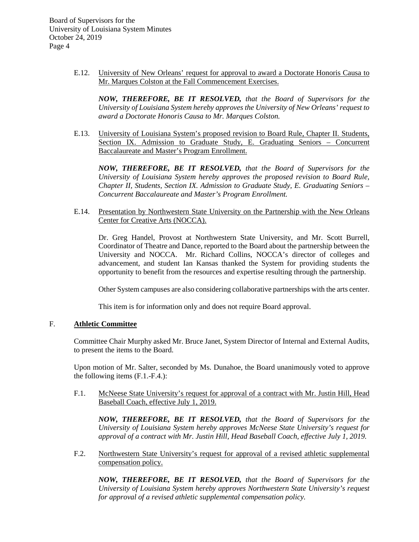> E.12. University of New Orleans' request for approval to award a Doctorate Honoris Causa to Mr. Marques Colston at the Fall Commencement Exercises.

*NOW, THEREFORE, BE IT RESOLVED, that the Board of Supervisors for the University of Louisiana System hereby approves the University of New Orleans' request to award a Doctorate Honoris Causa to Mr. Marques Colston.* 

E.13. University of Louisiana System's proposed revision to Board Rule, Chapter II. Students, Section IX. Admission to Graduate Study, E. Graduating Seniors – Concurrent Baccalaureate and Master's Program Enrollment.

*NOW, THEREFORE, BE IT RESOLVED, that the Board of Supervisors for the University of Louisiana System hereby approves the proposed revision to Board Rule, Chapter II, Students, Section IX. Admission to Graduate Study, E. Graduating Seniors – Concurrent Baccalaureate and Master's Program Enrollment.* 

E.14. Presentation by Northwestern State University on the Partnership with the New Orleans Center for Creative Arts (NOCCA).

Dr. Greg Handel, Provost at Northwestern State University, and Mr. Scott Burrell, Coordinator of Theatre and Dance, reported to the Board about the partnership between the University and NOCCA. Mr. Richard Collins, NOCCA's director of colleges and advancement, and student Ian Kansas thanked the System for providing students the opportunity to benefit from the resources and expertise resulting through the partnership.

Other System campuses are also considering collaborative partnerships with the arts center.

This item is for information only and does not require Board approval.

## F. **Athletic Committee**

Committee Chair Murphy asked Mr. Bruce Janet, System Director of Internal and External Audits, to present the items to the Board.

Upon motion of Mr. Salter, seconded by Ms. Dunahoe, the Board unanimously voted to approve the following items (F.1.-F.4.):

F.1. McNeese State University's request for approval of a contract with Mr. Justin Hill, Head Baseball Coach, effective July 1, 2019.

*NOW, THEREFORE, BE IT RESOLVED, that the Board of Supervisors for the University of Louisiana System hereby approves McNeese State University's request for approval of a contract with Mr. Justin Hill, Head Baseball Coach, effective July 1, 2019.* 

F.2. Northwestern State University's request for approval of a revised athletic supplemental compensation policy.

*NOW, THEREFORE, BE IT RESOLVED, that the Board of Supervisors for the University of Louisiana System hereby approves Northwestern State University's request for approval of a revised athletic supplemental compensation policy.*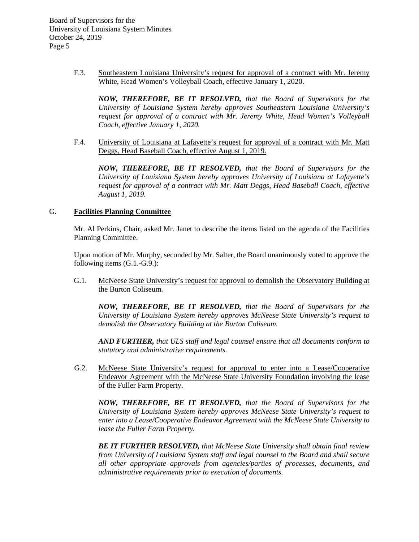> F.3. Southeastern Louisiana University's request for approval of a contract with Mr. Jeremy White, Head Women's Volleyball Coach, effective January 1, 2020.

*NOW, THEREFORE, BE IT RESOLVED, that the Board of Supervisors for the University of Louisiana System hereby approves Southeastern Louisiana University's request for approval of a contract with Mr. Jeremy White, Head Women's Volleyball Coach, effective January 1, 2020.*

F.4. University of Louisiana at Lafayette's request for approval of a contract with Mr. Matt Deggs, Head Baseball Coach, effective August 1, 2019.

*NOW, THEREFORE, BE IT RESOLVED, that the Board of Supervisors for the University of Louisiana System hereby approves University of Louisiana at Lafayette's request for approval of a contract with Mr. Matt Deggs, Head Baseball Coach, effective August 1, 2019.*

#### G. **Facilities Planning Committee**

Mr. Al Perkins, Chair, asked Mr. Janet to describe the items listed on the agenda of the Facilities Planning Committee.

Upon motion of Mr. Murphy, seconded by Mr. Salter, the Board unanimously voted to approve the following items (G.1.-G.9.):

G.1. McNeese State University's request for approval to demolish the Observatory Building at the Burton Coliseum.

*NOW, THEREFORE, BE IT RESOLVED, that the Board of Supervisors for the University of Louisiana System hereby approves McNeese State University's request to demolish the Observatory Building at the Burton Coliseum.*

*AND FURTHER, that ULS staff and legal counsel ensure that all documents conform to statutory and administrative requirements.*

 G.2. McNeese State University's request for approval to enter into a Lease/Cooperative Endeavor Agreement with the McNeese State University Foundation involving the lease of the Fuller Farm Property.

*NOW, THEREFORE, BE IT RESOLVED, that the Board of Supervisors for the University of Louisiana System hereby approves McNeese State University's request to enter into a Lease/Cooperative Endeavor Agreement with the McNeese State University to lease the Fuller Farm Property.* 

*BE IT FURTHER RESOLVED, that McNeese State University shall obtain final review from University of Louisiana System staff and legal counsel to the Board and shall secure all other appropriate approvals from agencies/parties of processes, documents, and administrative requirements prior to execution of documents.*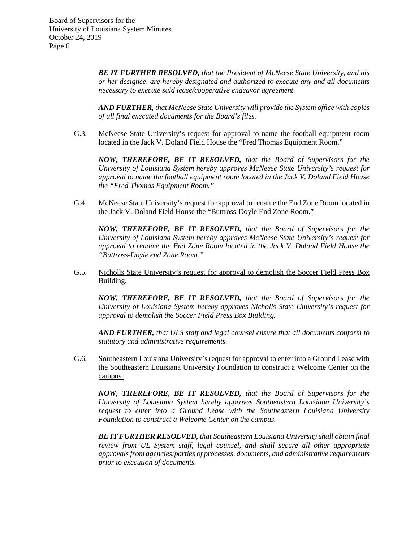> *BE IT FURTHER RESOLVED, that the President of McNeese State University, and his or her designee, are hereby designated and authorized to execute any and all documents necessary to execute said lease/cooperative endeavor agreement.*

> *AND FURTHER, that McNeese State University will provide the System office with copies of all final executed documents for the Board's files.*

G.3. McNeese State University's request for approval to name the football equipment room located in the Jack V. Doland Field House the "Fred Thomas Equipment Room."

*NOW, THEREFORE, BE IT RESOLVED, that the Board of Supervisors for the University of Louisiana System hereby approves McNeese State University's request for approval to name the football equipment room located in the Jack V. Doland Field House the "Fred Thomas Equipment Room."*

G.4. McNeese State University's request for approval to rename the End Zone Room located in the Jack V. Doland Field House the "Buttross-Doyle End Zone Room."

*NOW, THEREFORE, BE IT RESOLVED, that the Board of Supervisors for the University of Louisiana System hereby approves McNeese State University's request for approval to rename the End Zone Room located in the Jack V. Doland Field House the "Buttross-Doyle end Zone Room."*

G.5. Nicholls State University's request for approval to demolish the Soccer Field Press Box Building.

*NOW, THEREFORE, BE IT RESOLVED, that the Board of Supervisors for the University of Louisiana System hereby approves Nicholls State University's request for approval to demolish the Soccer Field Press Box Building.* 

*AND FURTHER, that ULS staff and legal counsel ensure that all documents conform to statutory and administrative requirements.*

G.6. Southeastern Louisiana University's request for approval to enter into a Ground Lease with the Southeastern Louisiana University Foundation to construct a Welcome Center on the campus.

*NOW, THEREFORE, BE IT RESOLVED, that the Board of Supervisors for the University of Louisiana System hereby approves Southeastern Louisiana University's request to enter into a Ground Lease with the Southeastern Louisiana University Foundation to construct a Welcome Center on the campus.* 

*BE IT FURTHER RESOLVED, that Southeastern Louisiana University shall obtain final review from UL System staff, legal counsel, and shall secure all other appropriate approvals from agencies/parties of processes, documents, and administrative requirements prior to execution of documents.*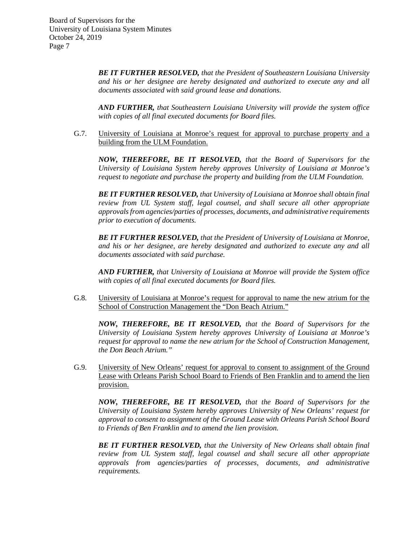> *BE IT FURTHER RESOLVED, that the President of Southeastern Louisiana University and his or her designee are hereby designated and authorized to execute any and all documents associated with said ground lease and donations.*

> *AND FURTHER, that Southeastern Louisiana University will provide the system office with copies of all final executed documents for Board files.*

G.7. University of Louisiana at Monroe's request for approval to purchase property and a building from the ULM Foundation.

*NOW, THEREFORE, BE IT RESOLVED, that the Board of Supervisors for the University of Louisiana System hereby approves University of Louisiana at Monroe's request to negotiate and purchase the property and building from the ULM Foundation.*

*BE IT FURTHER RESOLVED, that University of Louisiana at Monroe shall obtain final review from UL System staff, legal counsel, and shall secure all other appropriate approvalsfrom agencies/parties of processes, documents, and administrative requirements prior to execution of documents.*

*BE IT FURTHER RESOLVED, that the President of University of Louisiana at Monroe, and his or her designee, are hereby designated and authorized to execute any and all documents associated with said purchase.*

*AND FURTHER, that University of Louisiana at Monroe will provide the System office with copies of all final executed documents for Board files.*

G.8. University of Louisiana at Monroe's request for approval to name the new atrium for the School of Construction Management the "Don Beach Atrium."

*NOW, THEREFORE, BE IT RESOLVED, that the Board of Supervisors for the University of Louisiana System hereby approves University of Louisiana at Monroe's request for approval to name the new atrium for the School of Construction Management, the Don Beach Atrium."*

G.9. University of New Orleans' request for approval to consent to assignment of the Ground Lease with Orleans Parish School Board to Friends of Ben Franklin and to amend the lien provision.

*NOW, THEREFORE, BE IT RESOLVED, that the Board of Supervisors for the University of Louisiana System hereby approves University of New Orleans' request for approval to consent to assignment of the Ground Lease with Orleans Parish School Board to Friends of Ben Franklin and to amend the lien provision.* 

*BE IT FURTHER RESOLVED, that the University of New Orleans shall obtain final review from UL System staff, legal counsel and shall secure all other appropriate approvals from agencies/parties of processes, documents, and administrative requirements.*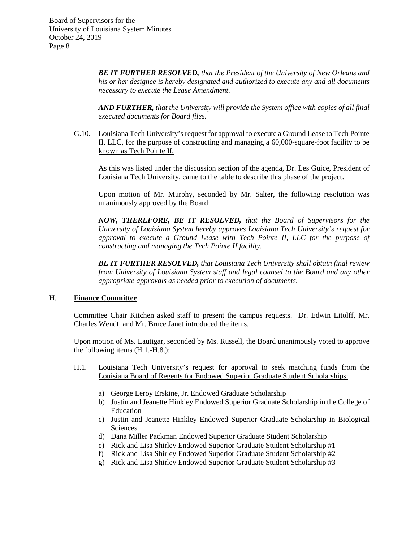> *BE IT FURTHER RESOLVED, that the President of the University of New Orleans and his or her designee is hereby designated and authorized to execute any and all documents necessary to execute the Lease Amendment.*

> *AND FURTHER, that the University will provide the System office with copies of all final executed documents for Board files.*

G.10. Louisiana Tech University's request for approval to execute a Ground Lease to Tech Pointe II, LLC, for the purpose of constructing and managing a 60,000-square-foot facility to be known as Tech Pointe II.

As this was listed under the discussion section of the agenda, Dr. Les Guice, President of Louisiana Tech University, came to the table to describe this phase of the project.

Upon motion of Mr. Murphy, seconded by Mr. Salter, the following resolution was unanimously approved by the Board:

*NOW, THEREFORE, BE IT RESOLVED, that the Board of Supervisors for the University of Louisiana System hereby approves Louisiana Tech University's request for approval to execute a Ground Lease with Tech Pointe II, LLC for the purpose of constructing and managing the Tech Pointe II facility.*

*BE IT FURTHER RESOLVED, that Louisiana Tech University shall obtain final review from University of Louisiana System staff and legal counsel to the Board and any other appropriate approvals as needed prior to execution of documents.* 

#### H. **Finance Committee**

Committee Chair Kitchen asked staff to present the campus requests. Dr. Edwin Litolff, Mr. Charles Wendt, and Mr. Bruce Janet introduced the items.

Upon motion of Ms. Lautigar, seconded by Ms. Russell, the Board unanimously voted to approve the following items (H.1.-H.8.):

- H.1. Louisiana Tech University's request for approval to seek matching funds from the Louisiana Board of Regents for Endowed Superior Graduate Student Scholarships:
	- a) George Leroy Erskine, Jr. Endowed Graduate Scholarship
	- b) Justin and Jeanette Hinkley Endowed Superior Graduate Scholarship in the College of Education
	- c) Justin and Jeanette Hinkley Endowed Superior Graduate Scholarship in Biological Sciences
	- d) Dana Miller Packman Endowed Superior Graduate Student Scholarship
	- e) Rick and Lisa Shirley Endowed Superior Graduate Student Scholarship #1
	- f) Rick and Lisa Shirley Endowed Superior Graduate Student Scholarship #2
	- g) Rick and Lisa Shirley Endowed Superior Graduate Student Scholarship #3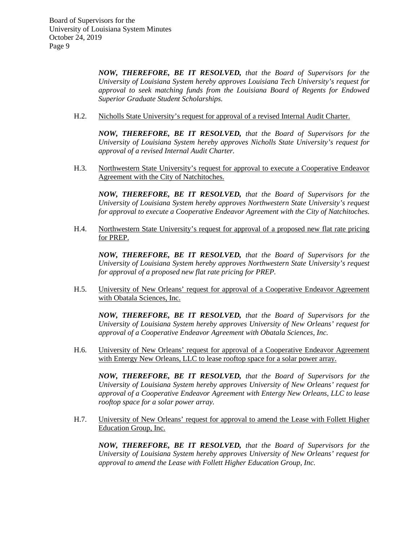*NOW, THEREFORE, BE IT RESOLVED, that the Board of Supervisors for the University of Louisiana System hereby approves Louisiana Tech University's request for approval to seek matching funds from the Louisiana Board of Regents for Endowed Superior Graduate Student Scholarships.*

H.2. Nicholls State University's request for approval of a revised Internal Audit Charter.

*NOW, THEREFORE, BE IT RESOLVED, that the Board of Supervisors for the University of Louisiana System hereby approves Nicholls State University's request for approval of a revised Internal Audit Charter.*

H.3. Northwestern State University's request for approval to execute a Cooperative Endeavor Agreement with the City of Natchitoches.

*NOW, THEREFORE, BE IT RESOLVED, that the Board of Supervisors for the University of Louisiana System hereby approves Northwestern State University's request for approval to execute a Cooperative Endeavor Agreement with the City of Natchitoches.*

H.4. Northwestern State University's request for approval of a proposed new flat rate pricing for PREP.

*NOW, THEREFORE, BE IT RESOLVED, that the Board of Supervisors for the University of Louisiana System hereby approves Northwestern State University's request for approval of a proposed new flat rate pricing for PREP.*

H.5. University of New Orleans' request for approval of a Cooperative Endeavor Agreement with Obatala Sciences, Inc.

*NOW, THEREFORE, BE IT RESOLVED, that the Board of Supervisors for the University of Louisiana System hereby approves University of New Orleans' request for approval of a Cooperative Endeavor Agreement with Obatala Sciences, Inc.* 

H.6. University of New Orleans' request for approval of a Cooperative Endeavor Agreement with Entergy New Orleans, LLC to lease rooftop space for a solar power array.

*NOW, THEREFORE, BE IT RESOLVED, that the Board of Supervisors for the University of Louisiana System hereby approves University of New Orleans' request for approval of a Cooperative Endeavor Agreement with Entergy New Orleans, LLC to lease rooftop space for a solar power array.*

H.7. University of New Orleans' request for approval to amend the Lease with Follett Higher Education Group, Inc.

*NOW, THEREFORE, BE IT RESOLVED, that the Board of Supervisors for the University of Louisiana System hereby approves University of New Orleans' request for approval to amend the Lease with Follett Higher Education Group, Inc.*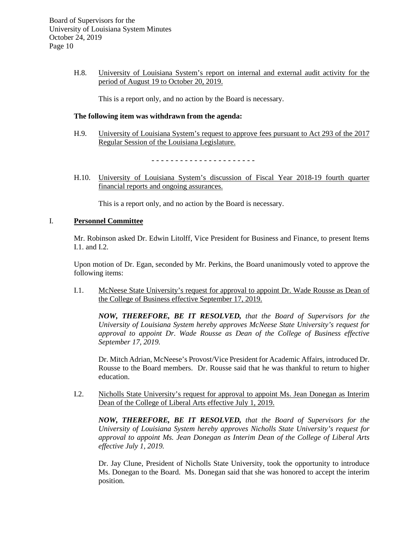H.8. University of Louisiana System's report on internal and external audit activity for the period of August 19 to October 20, 2019.

This is a report only, and no action by the Board is necessary.

#### **The following item was withdrawn from the agenda:**

H.9. University of Louisiana System's request to approve fees pursuant to Act 293 of the 2017 Regular Session of the Louisiana Legislature.

- - - - - - - - - - - - - - - - - - - - - -

H.10. University of Louisiana System's discussion of Fiscal Year 2018-19 fourth quarter financial reports and ongoing assurances.

This is a report only, and no action by the Board is necessary.

#### I. **Personnel Committee**

Mr. Robinson asked Dr. Edwin Litolff, Vice President for Business and Finance, to present Items I.1. and I.2.

Upon motion of Dr. Egan, seconded by Mr. Perkins, the Board unanimously voted to approve the following items:

I.1. McNeese State University's request for approval to appoint Dr. Wade Rousse as Dean of the College of Business effective September 17, 2019.

*NOW, THEREFORE, BE IT RESOLVED, that the Board of Supervisors for the University of Louisiana System hereby approves McNeese State University's request for approval to appoint Dr. Wade Rousse as Dean of the College of Business effective September 17, 2019.*

Dr. Mitch Adrian, McNeese's Provost/Vice President for Academic Affairs, introduced Dr. Rousse to the Board members. Dr. Rousse said that he was thankful to return to higher education.

I.2. Nicholls State University's request for approval to appoint Ms. Jean Donegan as Interim Dean of the College of Liberal Arts effective July 1, 2019.

*NOW, THEREFORE, BE IT RESOLVED, that the Board of Supervisors for the University of Louisiana System hereby approves Nicholls State University's request for approval to appoint Ms. Jean Donegan as Interim Dean of the College of Liberal Arts effective July 1, 2019.*

Dr. Jay Clune, President of Nicholls State University, took the opportunity to introduce Ms. Donegan to the Board. Ms. Donegan said that she was honored to accept the interim position.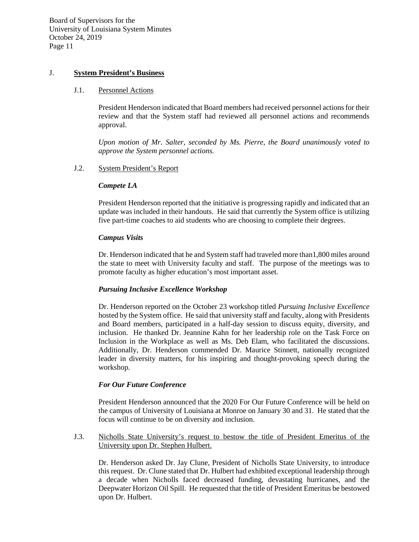## J. **System President's Business**

#### J.1. Personnel Actions

President Henderson indicated that Board members had received personnel actions for their review and that the System staff had reviewed all personnel actions and recommends approval.

*Upon motion of Mr. Salter, seconded by Ms. Pierre, the Board unanimously voted to approve the System personnel actions.*

## J.2. System President's Report

#### *Compete LA*

President Henderson reported that the initiative is progressing rapidly and indicated that an update was included in their handouts. He said that currently the System office is utilizing five part-time coaches to aid students who are choosing to complete their degrees.

#### *Campus Visits*

Dr. Henderson indicated that he and System staff had traveled more than1,800 miles around the state to meet with University faculty and staff. The purpose of the meetings was to promote faculty as higher education's most important asset.

## *Pursuing Inclusive Excellence Workshop*

Dr. Henderson reported on the October 23 workshop titled *Pursuing Inclusive Excellence* hosted by the System office. He said that university staff and faculty, along with Presidents and Board members, participated in a half-day session to discuss equity, diversity, and inclusion. He thanked Dr. Jeannine Kahn for her leadership role on the Task Force on Inclusion in the Workplace as well as Ms. Deb Elam, who facilitated the discussions. Additionally, Dr. Henderson commended Dr. Maurice Stinnett, nationally recognized leader in diversity matters, for his inspiring and thought-provoking speech during the workshop.

## *For Our Future Conference*

President Henderson announced that the 2020 For Our Future Conference will be held on the campus of University of Louisiana at Monroe on January 30 and 31. He stated that the focus will continue to be on diversity and inclusion.

## J.3. Nicholls State University's request to bestow the title of President Emeritus of the University upon Dr. Stephen Hulbert.

Dr. Henderson asked Dr. Jay Clune, President of Nicholls State University, to introduce this request. Dr. Clune stated that Dr. Hulbert had exhibited exceptional leadership through a decade when Nicholls faced decreased funding, devastating hurricanes, and the Deepwater Horizon Oil Spill. He requested that the title of President Emeritus be bestowed upon Dr. Hulbert.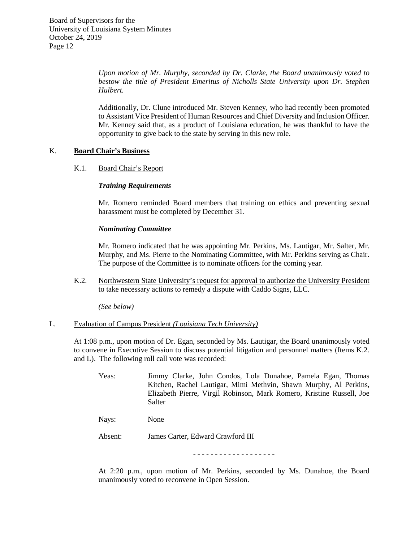*Upon motion of Mr. Murphy, seconded by Dr. Clarke, the Board unanimously voted to bestow the title of President Emeritus of Nicholls State University upon Dr. Stephen Hulbert.* 

Additionally, Dr. Clune introduced Mr. Steven Kenney, who had recently been promoted to Assistant Vice President of Human Resources and Chief Diversity and Inclusion Officer. Mr. Kenney said that, as a product of Louisiana education, he was thankful to have the opportunity to give back to the state by serving in this new role.

## K. **Board Chair's Business**

#### K.1. Board Chair's Report

#### *Training Requirements*

Mr. Romero reminded Board members that training on ethics and preventing sexual harassment must be completed by December 31.

#### *Nominating Committee*

Mr. Romero indicated that he was appointing Mr. Perkins, Ms. Lautigar, Mr. Salter, Mr. Murphy, and Ms. Pierre to the Nominating Committee, with Mr. Perkins serving as Chair. The purpose of the Committee is to nominate officers for the coming year.

K.2. Northwestern State University's request for approval to authorize the University President to take necessary actions to remedy a dispute with Caddo Signs, LLC.

*(See below)*

## L. Evaluation of Campus President *(Louisiana Tech University)*

At 1:08 p.m., upon motion of Dr. Egan, seconded by Ms. Lautigar, the Board unanimously voted to convene in Executive Session to discuss potential litigation and personnel matters (Items K.2. and L). The following roll call vote was recorded:

Yeas: Jimmy Clarke, John Condos, Lola Dunahoe, Pamela Egan, Thomas Kitchen, Rachel Lautigar, Mimi Methvin, Shawn Murphy, Al Perkins, Elizabeth Pierre, Virgil Robinson, Mark Romero, Kristine Russell, Joe Salter

Nays: None

Absent: James Carter, Edward Crawford III

- - - - - - - - - - - - - - - - - - -

At 2:20 p.m., upon motion of Mr. Perkins, seconded by Ms. Dunahoe, the Board unanimously voted to reconvene in Open Session.